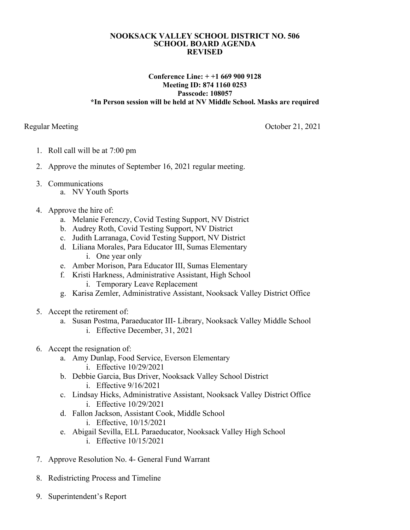## **NOOKSACK VALLEY SCHOOL DISTRICT NO. 506 SCHOOL BOARD AGENDA REVISED**

## **Conference Line: + +1 669 900 9128 Meeting ID: 874 1160 0253 Passcode: 108057 \*In Person session will be held at NV Middle School. Masks are required**

Regular Meeting October 21, 2021

- 1. Roll call will be at 7:00 pm
- 2. Approve the minutes of September 16, 2021 regular meeting.
- 3. Communications
	- a. NV Youth Sports
- 4. Approve the hire of:
	- a. Melanie Ferenczy, Covid Testing Support, NV District
	- b. Audrey Roth, Covid Testing Support, NV District
	- c. Judith Larranaga, Covid Testing Support, NV District
	- d. Liliana Morales, Para Educator III, Sumas Elementary i. One year only
	- e. Amber Morison, Para Educator III, Sumas Elementary
	- f. Kristi Harkness, Administrative Assistant, High School i. Temporary Leave Replacement
	- g. Karisa Zemler, Administrative Assistant, Nooksack Valley District Office
- 5. Accept the retirement of:
	- a. Susan Postma, Paraeducator III- Library, Nooksack Valley Middle School i. Effective December, 31, 2021
- 6. Accept the resignation of:
	- a. Amy Dunlap, Food Service, Everson Elementary
		- i. Effective 10/29/2021
	- b. Debbie Garcia, Bus Driver, Nooksack Valley School District i. Effective 9/16/2021
	- c. Lindsay Hicks, Administrative Assistant, Nooksack Valley District Office i. Effective 10/29/2021
	- d. Fallon Jackson, Assistant Cook, Middle School
		- i. Effective, 10/15/2021
	- e. Abigail Sevilla, ELL Paraeducator, Nooksack Valley High School i. Effective 10/15/2021
- 7. Approve Resolution No. 4- General Fund Warrant
- 8. Redistricting Process and Timeline
- 9. Superintendent's Report